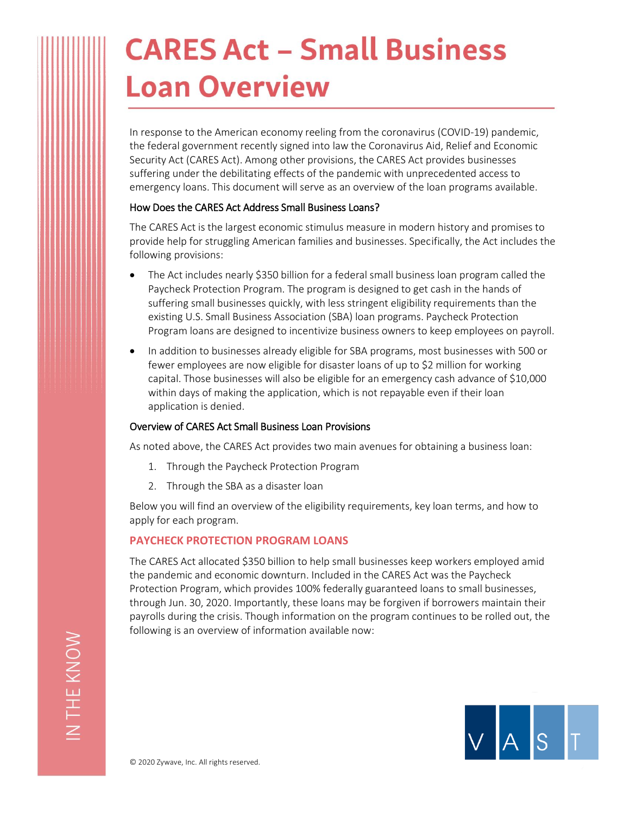# **CARES Act - Small Business Loan Overview**

In response to the American economy reeling from the coronavirus (COVID-19) pandemic, the federal government recently signed into law the Coronavirus Aid, Relief and Economic Security Act (CARES Act). Among other provisions, the CARES Act provides businesses suffering under the debilitating effects of the pandemic with unprecedented access to emergency loans. This document will serve as an overview of the loan programs available.

# How Does the CARES Act Address Small Business Loans?

The CARES Act is the largest economic stimulus measure in modern history and promises to provide help for struggling American families and businesses. Specifically, the Act includes the following provisions:

- The Act includes nearly \$350 billion for a federal small business loan program called the Paycheck Protection Program. The program is designed to get cash in the hands of suffering small businesses quickly, with less stringent eligibility requirements than the existing U.S. Small Business Association (SBA) loan programs. Paycheck Protection Program loans are designed to incentivize business owners to keep employees on payroll.
- In addition to businesses already eligible for SBA programs, most businesses with 500 or fewer employees are now eligible for disaster loans of up to \$2 million for working capital. Those businesses will also be eligible for an emergency cash advance of \$10,000 within days of making the application, which is not repayable even if their loan application is denied.

# Overview of CARES Act Small Business Loan Provisions

As noted above, the CARES Act provides two main avenues for obtaining a business loan:

- 1. Through the Paycheck Protection Program
- 2. Through the SBA as a disaster loan

Below you will find an overview of the eligibility requirements, key loan terms, and how to apply for each program.

# **PAYCHECK PROTECTION PROGRAM LOANS**

The CARES Act allocated \$350 billion to help small businesses keep workers employed amid the pandemic and economic downturn. Included in the CARES Act was the Paycheck Protection Program, which provides 100% federally guaranteed loans to small businesses, through Jun. 30, 2020. Importantly, these loans may be forgiven if borrowers maintain their payrolls during the crisis. Though information on the program continues to be rolled out, the following is an overview of information available now:

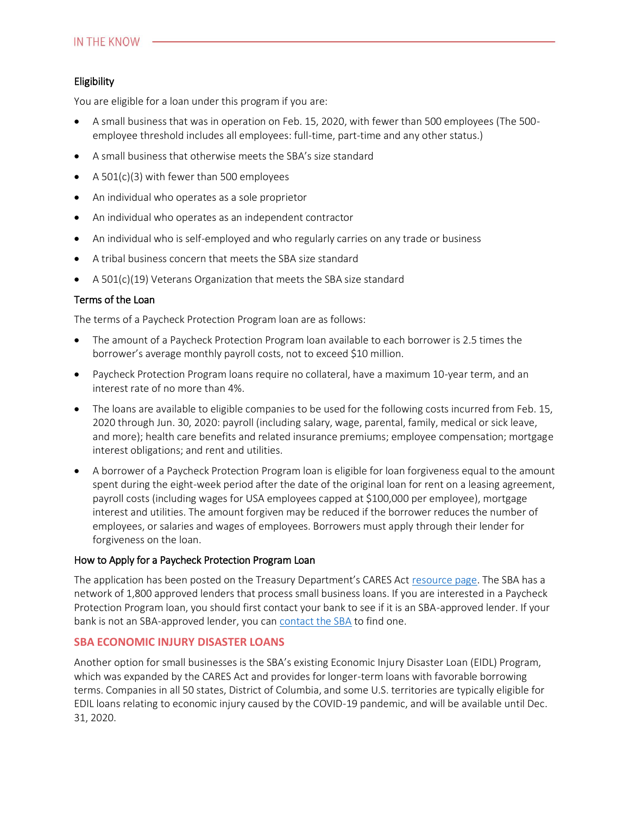# Eligibility

You are eligible for a loan under this program if you are:

- A small business that was in operation on Feb. 15, 2020, with fewer than 500 employees (The 500 employee threshold includes all employees: full-time, part-time and any other status.)
- A small business that otherwise meets the SBA's size standard
- A 501(c)(3) with fewer than 500 employees
- An individual who operates as a sole proprietor
- An individual who operates as an independent contractor
- An individual who is self-employed and who regularly carries on any trade or business
- A tribal business concern that meets the SBA size standard
- $\bullet$  A 501(c)(19) Veterans Organization that meets the SBA size standard

# Terms of the Loan

The terms of a Paycheck Protection Program loan are as follows:

- The amount of a Paycheck Protection Program loan available to each borrower is 2.5 times the borrower's average monthly payroll costs, not to exceed \$10 million.
- Paycheck Protection Program loans require no collateral, have a maximum 10-year term, and an interest rate of no more than 4%.
- The loans are available to eligible companies to be used for the following costs incurred from Feb. 15, 2020 through Jun. 30, 2020: payroll (including salary, wage, parental, family, medical or sick leave, and more); health care benefits and related insurance premiums; employee compensation; mortgage interest obligations; and rent and utilities.
- A borrower of a Paycheck Protection Program loan is eligible for loan forgiveness equal to the amount spent during the eight-week period after the date of the original loan for rent on a leasing agreement, payroll costs (including wages for USA employees capped at \$100,000 per employee), mortgage interest and utilities. The amount forgiven may be reduced if the borrower reduces the number of employees, or salaries and wages of employees. Borrowers must apply through their lender for forgiveness on the loan.

#### How to Apply for a Paycheck Protection Program Loan

The application has been posted on the Treasury Department's CARES Act [resource page.](https://home.treasury.gov/policy-issues/top-priorities/cares-act/assistance-for-small-businesses) The SBA has a network of 1,800 approved lenders that process small business loans. If you are interested in a Paycheck Protection Program loan, you should first contact your bank to see if it is an SBA-approved lender. If your bank is not an SBA-approved lender, you ca[n contact the SBA](https://www.sba.gov/funding-programs/loans) to find one.

#### **SBA ECONOMIC INJURY DISASTER LOANS**

Another option for small businesses is the SBA's existing Economic Injury Disaster Loan (EIDL) Program, which was expanded by the CARES Act and provides for longer-term loans with favorable borrowing terms. Companies in all 50 states, District of Columbia, and some U.S. territories are typically eligible for EDIL loans relating to economic injury caused by the COVID-19 pandemic, and will be available until Dec. 31, 2020.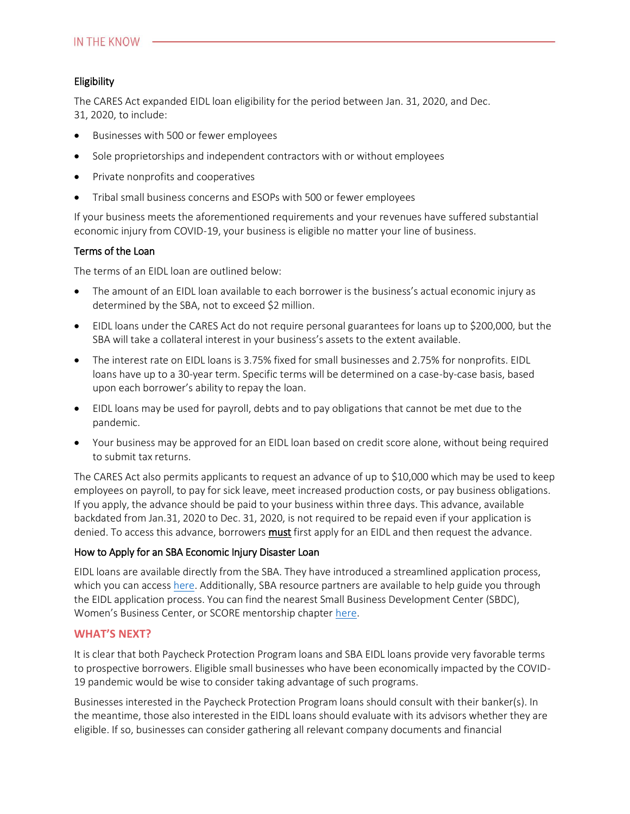# Eligibility

The CARES Act expanded EIDL loan eligibility for the period between Jan. 31, 2020, and Dec. 31, 2020, to include:

- Businesses with 500 or fewer employees
- Sole proprietorships and independent contractors with or without employees
- Private nonprofits and cooperatives
- Tribal small business concerns and ESOPs with 500 or fewer employees

If your business meets the aforementioned requirements and your revenues have suffered substantial economic injury from COVID-19, your business is eligible no matter your line of business.

#### Terms of the Loan

The terms of an EIDL loan are outlined below:

- The amount of an EIDL loan available to each borrower is the business's actual economic injury as determined by the SBA, not to exceed \$2 million.
- EIDL loans under the CARES Act do not require personal guarantees for loans up to \$200,000, but the SBA will take a collateral interest in your business's assets to the extent available.
- The interest rate on EIDL loans is 3.75% fixed for small businesses and 2.75% for nonprofits. EIDL loans have up to a 30-year term. Specific terms will be determined on a case-by-case basis, based upon each borrower's ability to repay the loan.
- EIDL loans may be used for payroll, debts and to pay obligations that cannot be met due to the pandemic.
- Your business may be approved for an EIDL loan based on credit score alone, without being required to submit tax returns.

The CARES Act also permits applicants to request an advance of up to \$10,000 which may be used to keep employees on payroll, to pay for sick leave, meet increased production costs, or pay business obligations. If you apply, the advance should be paid to your business within three days. This advance, available backdated from Jan.31, 2020 to Dec. 31, 2020, is not required to be repaid even if your application is denied. To access this advance, borrowers **must** first apply for an EIDL and then request the advance.

#### How to Apply for an SBA Economic Injury Disaster Loan

EIDL loans are available directly from the SBA. They have introduced a streamlined application process, which you can acces[s here.](https://covid19relief.sba.gov/#/) Additionally, SBA resource partners are available to help guide you through the EIDL application process. You can find the nearest Small Business Development Center (SBDC), Women's Business Center, or SCORE mentorship chapter [here.](https://www.sba.gov/local-assistance/find/)

#### **WHAT'S NEXT?**

It is clear that both Paycheck Protection Program loans and SBA EIDL loans provide very favorable terms to prospective borrowers. Eligible small businesses who have been economically impacted by the COVID-19 pandemic would be wise to consider taking advantage of such programs.

Businesses interested in the Paycheck Protection Program loans should consult with their banker(s). In the meantime, those also interested in the EIDL loans should evaluate with its advisors whether they are eligible. If so, businesses can consider gathering all relevant company documents and financial